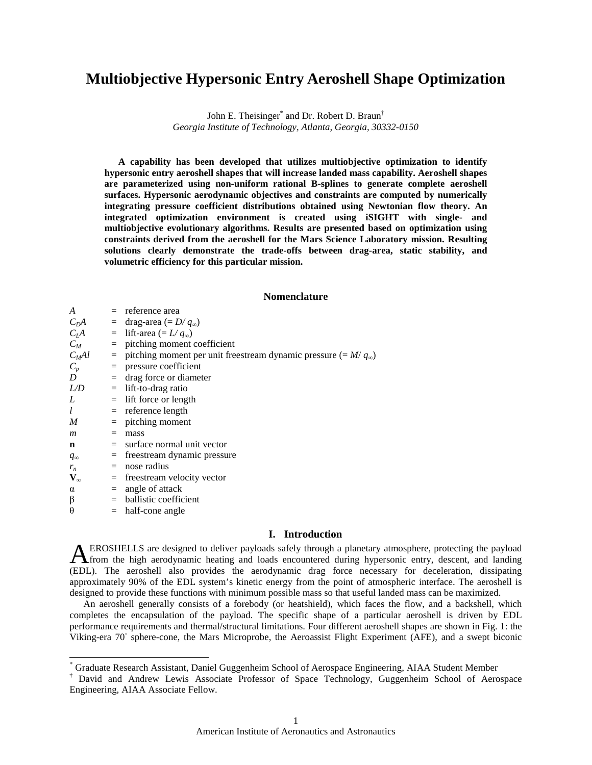# **Multiobjective Hypersonic Entry Aeroshell Shape Optimization**

John E. Theisinger<sup>\*</sup> and Dr. Robert D. Braun<sup>†</sup> *Georgia Institute of Technology, Atlanta, Georgia, 30332-0150* 

**A capability has been developed that utilizes multiobjective optimization to identify hypersonic entry aeroshell shapes that will increase landed mass capability. Aeroshell shapes are parameterized using non-uniform rational B-splines to generate complete aeroshell surfaces. Hypersonic aerodynamic objectives and constraints are computed by numerically integrating pressure coefficient distributions obtained using Newtonian flow theory. An integrated optimization environment is created using iSIGHT with single- and multiobjective evolutionary algorithms. Results are presented based on optimization using constraints derived from the aeroshell for the Mars Science Laboratory mission. Resulting solutions clearly demonstrate the trade-offs between drag-area, static stability, and volumetric efficiency for this particular mission.** 

#### **Nomenclature**

| A                     | $=$ reference area                                                           |
|-----------------------|------------------------------------------------------------------------------|
| $C_D A$               | $=$ drag-area ( $= D/q_{\infty}$ )                                           |
| C <sub>L</sub> A      | $=$ lift-area ( $= L/q_{\infty}$ )                                           |
|                       | $C_M$ = pitching moment coefficient                                          |
|                       | $C_M A l$ = pitching moment per unit freestream dynamic pressure $(= M/q_0)$ |
| $C_p$                 | $=$ pressure coefficient                                                     |
| D                     | $=$ drag force or diameter                                                   |
| LD                    | $=$ lift-to-drag ratio                                                       |
| L                     | $=$ lift force or length                                                     |
| $l_{\rm}$             | $=$ reference length                                                         |
| M                     | $=$ pitching moment                                                          |
| $\mathfrak{m}$        | mass                                                                         |
| n                     | $=$ surface normal unit vector                                               |
| $q_{\infty}$          | $=$ freestream dynamic pressure                                              |
| $r_n$                 | $=$ nose radius                                                              |
| $\mathbf{V}_{\infty}$ | $=$ freestream velocity vector                                               |
| $\alpha$              | $=$ angle of attack                                                          |
| β                     | $=$ ballistic coefficient                                                    |
| $\theta$              | half-cone angle                                                              |
|                       |                                                                              |

-

## **I. Introduction**

EROSHELLS are designed to deliver payloads safely through a planetary atmosphere, protecting the payload **AEROSHELLS** are designed to deliver payloads safely through a planetary atmosphere, protecting the payload from the high aerodynamic heating and loads encountered during hypersonic entry, descent, and landing (EDL). The aeroshell also provides the aerodynamic drag force necessary for deceleration, dissipating approximately 90% of the EDL system's kinetic energy from the point of atmospheric interface. The aeroshell is designed to provide these functions with minimum possible mass so that useful landed mass can be maximized.

An aeroshell generally consists of a forebody (or heatshield), which faces the flow, and a backshell, which completes the encapsulation of the payload. The specific shape of a particular aeroshell is driven by EDL performance requirements and thermal/structural limitations. Four different aeroshell shapes are shown in Fig. 1: the Viking-era 70° sphere-cone, the Mars Microprobe, the Aeroassist Flight Experiment (AFE), and a swept biconic

<sup>\*</sup> Graduate Research Assistant, Daniel Guggenheim School of Aerospace Engineering, AIAA Student Member

<sup>†</sup> David and Andrew Lewis Associate Professor of Space Technology, Guggenheim School of Aerospace Engineering, AIAA Associate Fellow.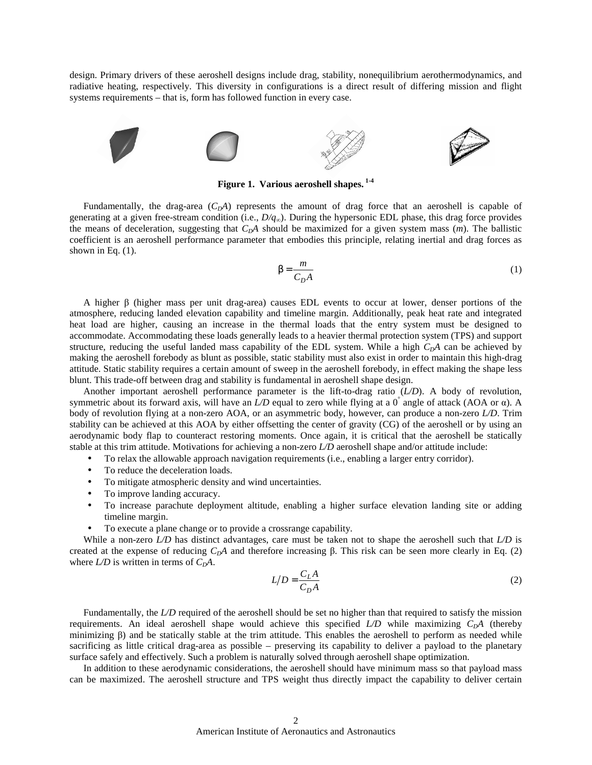design. Primary drivers of these aeroshell designs include drag, stability, nonequilibrium aerothermodynamics, and radiative heating, respectively. This diversity in configurations is a direct result of differing mission and flight systems requirements – that is, form has followed function in every case.



**Figure 1. Various aeroshell shapes. 1-4**

Fundamentally, the drag-area  $(C<sub>D</sub>A)$  represents the amount of drag force that an aeroshell is capable of generating at a given free-stream condition (i.e., *D/q*∞). During the hypersonic EDL phase, this drag force provides the means of deceleration, suggesting that  $C<sub>D</sub>A$  should be maximized for a given system mass  $(m)$ . The ballistic coefficient is an aeroshell performance parameter that embodies this principle, relating inertial and drag forces as shown in Eq.  $(1)$ .

$$
\beta = \frac{m}{C_D A} \tag{1}
$$

A higher β (higher mass per unit drag-area) causes EDL events to occur at lower, denser portions of the atmosphere, reducing landed elevation capability and timeline margin. Additionally, peak heat rate and integrated heat load are higher, causing an increase in the thermal loads that the entry system must be designed to accommodate. Accommodating these loads generally leads to a heavier thermal protection system (TPS) and support structure, reducing the useful landed mass capability of the EDL system. While a high *CDA* can be achieved by making the aeroshell forebody as blunt as possible, static stability must also exist in order to maintain this high-drag attitude. Static stability requires a certain amount of sweep in the aeroshell forebody, in effect making the shape less blunt. This trade-off between drag and stability is fundamental in aeroshell shape design.

Another important aeroshell performance parameter is the lift-to-drag ratio (*L/D*). A body of revolution, symmetric about its forward axis, will have an  $L/D$  equal to zero while flying at a 0° angle of attack (AOA or  $\alpha$ ). A body of revolution flying at a non-zero AOA, or an asymmetric body, however, can produce a non-zero *L/D*. Trim stability can be achieved at this AOA by either offsetting the center of gravity (CG) of the aeroshell or by using an aerodynamic body flap to counteract restoring moments. Once again, it is critical that the aeroshell be statically stable at this trim attitude. Motivations for achieving a non-zero *L/D* aeroshell shape and/or attitude include:

- To relax the allowable approach navigation requirements (i.e., enabling a larger entry corridor).
- To reduce the deceleration loads.
- To mitigate atmospheric density and wind uncertainties.
- To improve landing accuracy.
- To increase parachute deployment altitude, enabling a higher surface elevation landing site or adding timeline margin.
- To execute a plane change or to provide a crossrange capability.

While a non-zero *L/D* has distinct advantages, care must be taken not to shape the aeroshell such that *L/D* is created at the expense of reducing  $C<sub>D</sub>A$  and therefore increasing β. This risk can be seen more clearly in Eq. (2) where  $L/D$  is written in terms of  $C<sub>D</sub>A$ .

$$
L/D = \frac{C_L A}{C_D A} \tag{2}
$$

Fundamentally, the *L/D* required of the aeroshell should be set no higher than that required to satisfy the mission requirements. An ideal aeroshell shape would achieve this specified  $L/D$  while maximizing  $C<sub>D</sub>A$  (thereby minimizing β) and be statically stable at the trim attitude. This enables the aeroshell to perform as needed while sacrificing as little critical drag-area as possible – preserving its capability to deliver a payload to the planetary surface safely and effectively. Such a problem is naturally solved through aeroshell shape optimization.

In addition to these aerodynamic considerations, the aeroshell should have minimum mass so that payload mass can be maximized. The aeroshell structure and TPS weight thus directly impact the capability to deliver certain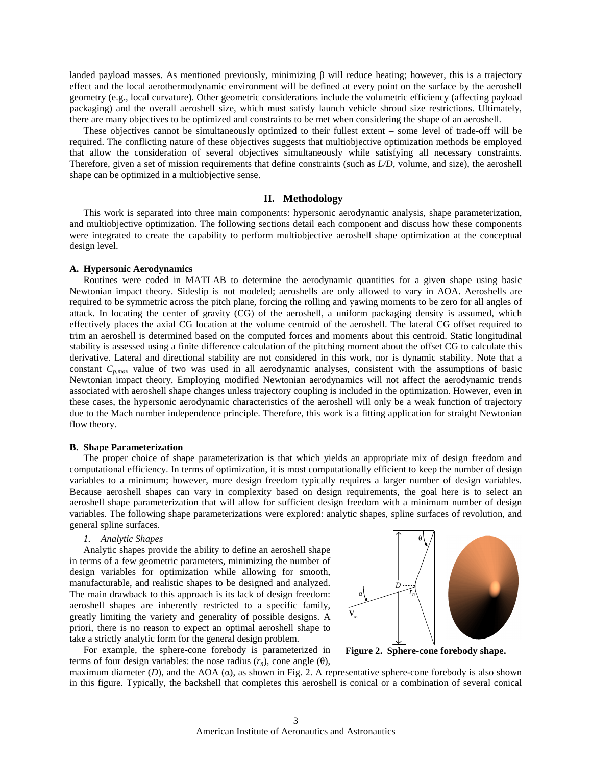landed payload masses. As mentioned previously, minimizing  $β$  will reduce heating; however, this is a trajectory effect and the local aerothermodynamic environment will be defined at every point on the surface by the aeroshell geometry (e.g., local curvature). Other geometric considerations include the volumetric efficiency (affecting payload packaging) and the overall aeroshell size, which must satisfy launch vehicle shroud size restrictions. Ultimately, there are many objectives to be optimized and constraints to be met when considering the shape of an aeroshell.

These objectives cannot be simultaneously optimized to their fullest extent – some level of trade-off will be required. The conflicting nature of these objectives suggests that multiobjective optimization methods be employed that allow the consideration of several objectives simultaneously while satisfying all necessary constraints. Therefore, given a set of mission requirements that define constraints (such as *L/D*, volume, and size), the aeroshell shape can be optimized in a multiobjective sense.

#### **II. Methodology**

This work is separated into three main components: hypersonic aerodynamic analysis, shape parameterization, and multiobjective optimization. The following sections detail each component and discuss how these components were integrated to create the capability to perform multiobjective aeroshell shape optimization at the conceptual design level.

#### **A. Hypersonic Aerodynamics**

Routines were coded in MATLAB to determine the aerodynamic quantities for a given shape using basic Newtonian impact theory. Sideslip is not modeled; aeroshells are only allowed to vary in AOA. Aeroshells are required to be symmetric across the pitch plane, forcing the rolling and yawing moments to be zero for all angles of attack. In locating the center of gravity (CG) of the aeroshell, a uniform packaging density is assumed, which effectively places the axial CG location at the volume centroid of the aeroshell. The lateral CG offset required to trim an aeroshell is determined based on the computed forces and moments about this centroid. Static longitudinal stability is assessed using a finite difference calculation of the pitching moment about the offset CG to calculate this derivative. Lateral and directional stability are not considered in this work, nor is dynamic stability. Note that a constant *Cp,max* value of two was used in all aerodynamic analyses, consistent with the assumptions of basic Newtonian impact theory. Employing modified Newtonian aerodynamics will not affect the aerodynamic trends associated with aeroshell shape changes unless trajectory coupling is included in the optimization. However, even in these cases, the hypersonic aerodynamic characteristics of the aeroshell will only be a weak function of trajectory due to the Mach number independence principle. Therefore, this work is a fitting application for straight Newtonian flow theory.

#### **B. Shape Parameterization**

The proper choice of shape parameterization is that which yields an appropriate mix of design freedom and computational efficiency. In terms of optimization, it is most computationally efficient to keep the number of design variables to a minimum; however, more design freedom typically requires a larger number of design variables. Because aeroshell shapes can vary in complexity based on design requirements, the goal here is to select an aeroshell shape parameterization that will allow for sufficient design freedom with a minimum number of design variables. The following shape parameterizations were explored: analytic shapes, spline surfaces of revolution, and general spline surfaces.

### *1. Analytic Shapes*

Analytic shapes provide the ability to define an aeroshell shape in terms of a few geometric parameters, minimizing the number of design variables for optimization while allowing for smooth, manufacturable, and realistic shapes to be designed and analyzed. The main drawback to this approach is its lack of design freedom: aeroshell shapes are inherently restricted to a specific family, greatly limiting the variety and generality of possible designs. A priori, there is no reason to expect an optimal aeroshell shape to take a strictly analytic form for the general design problem.



For example, the sphere-cone forebody is parameterized in terms of four design variables: the nose radius  $(r_n)$ , cone angle  $(\theta)$ ,

**Figure 2. Sphere-cone forebody shape.** 

maximum diameter  $(D)$ , and the AOA  $(\alpha)$ , as shown in Fig. 2. A representative sphere-cone forebody is also shown in this figure. Typically, the backshell that completes this aeroshell is conical or a combination of several conical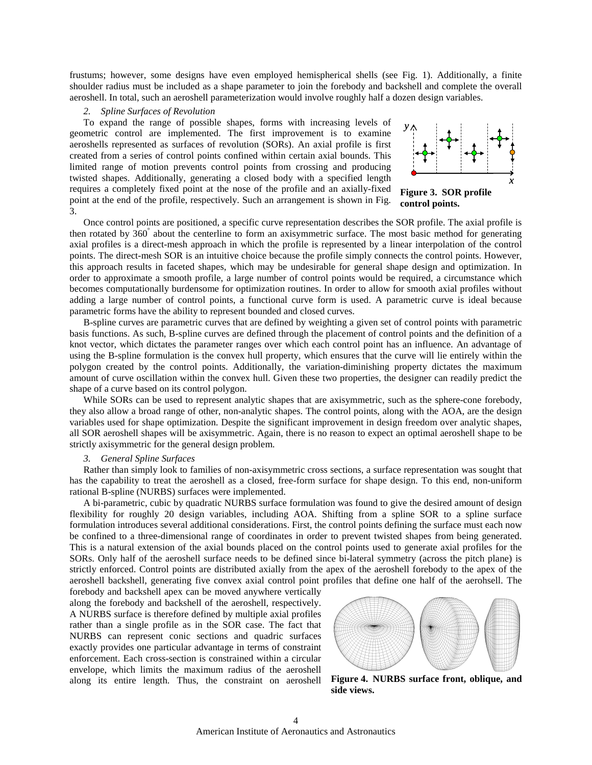frustums; however, some designs have even employed hemispherical shells (see Fig. 1). Additionally, a finite shoulder radius must be included as a shape parameter to join the forebody and backshell and complete the overall aeroshell. In total, such an aeroshell parameterization would involve roughly half a dozen design variables.

## *2. Spline Surfaces of Revolution*

To expand the range of possible shapes, forms with increasing levels of geometric control are implemented. The first improvement is to examine aeroshells represented as surfaces of revolution (SORs). An axial profile is first created from a series of control points confined within certain axial bounds. This limited range of motion prevents control points from crossing and producing twisted shapes. Additionally, generating a closed body with a specified length requires a completely fixed point at the nose of the profile and an axially-fixed point at the end of the profile, respectively. Such an arrangement is shown in Fig. 3.



**control points.** 

Once control points are positioned, a specific curve representation describes the SOR profile. The axial profile is then rotated by 360° about the centerline to form an axisymmetric surface. The most basic method for generating axial profiles is a direct-mesh approach in which the profile is represented by a linear interpolation of the control points. The direct-mesh SOR is an intuitive choice because the profile simply connects the control points. However, this approach results in faceted shapes, which may be undesirable for general shape design and optimization. In order to approximate a smooth profile, a large number of control points would be required, a circumstance which becomes computationally burdensome for optimization routines. In order to allow for smooth axial profiles without adding a large number of control points, a functional curve form is used. A parametric curve is ideal because parametric forms have the ability to represent bounded and closed curves.

B-spline curves are parametric curves that are defined by weighting a given set of control points with parametric basis functions. As such, B-spline curves are defined through the placement of control points and the definition of a knot vector, which dictates the parameter ranges over which each control point has an influence. An advantage of using the B-spline formulation is the convex hull property, which ensures that the curve will lie entirely within the polygon created by the control points. Additionally, the variation-diminishing property dictates the maximum amount of curve oscillation within the convex hull. Given these two properties, the designer can readily predict the shape of a curve based on its control polygon.

While SORs can be used to represent analytic shapes that are axisymmetric, such as the sphere-cone forebody, they also allow a broad range of other, non-analytic shapes. The control points, along with the AOA, are the design variables used for shape optimization. Despite the significant improvement in design freedom over analytic shapes, all SOR aeroshell shapes will be axisymmetric. Again, there is no reason to expect an optimal aeroshell shape to be strictly axisymmetric for the general design problem.

## *3. General Spline Surfaces*

Rather than simply look to families of non-axisymmetric cross sections, a surface representation was sought that has the capability to treat the aeroshell as a closed, free-form surface for shape design. To this end, non-uniform rational B-spline (NURBS) surfaces were implemented.

 A bi-parametric, cubic by quadratic NURBS surface formulation was found to give the desired amount of design flexibility for roughly 20 design variables, including AOA. Shifting from a spline SOR to a spline surface formulation introduces several additional considerations. First, the control points defining the surface must each now be confined to a three-dimensional range of coordinates in order to prevent twisted shapes from being generated. This is a natural extension of the axial bounds placed on the control points used to generate axial profiles for the SORs. Only half of the aeroshell surface needs to be defined since bi-lateral symmetry (across the pitch plane) is strictly enforced. Control points are distributed axially from the apex of the aeroshell forebody to the apex of the aeroshell backshell, generating five convex axial control point profiles that define one half of the aerohsell. The

forebody and backshell apex can be moved anywhere vertically along the forebody and backshell of the aeroshell, respectively. A NURBS surface is therefore defined by multiple axial profiles rather than a single profile as in the SOR case. The fact that NURBS can represent conic sections and quadric surfaces exactly provides one particular advantage in terms of constraint enforcement. Each cross-section is constrained within a circular envelope, which limits the maximum radius of the aeroshell along its entire length. Thus, the constraint on aeroshell



**Figure 4. NURBS surface front, oblique, and side views.**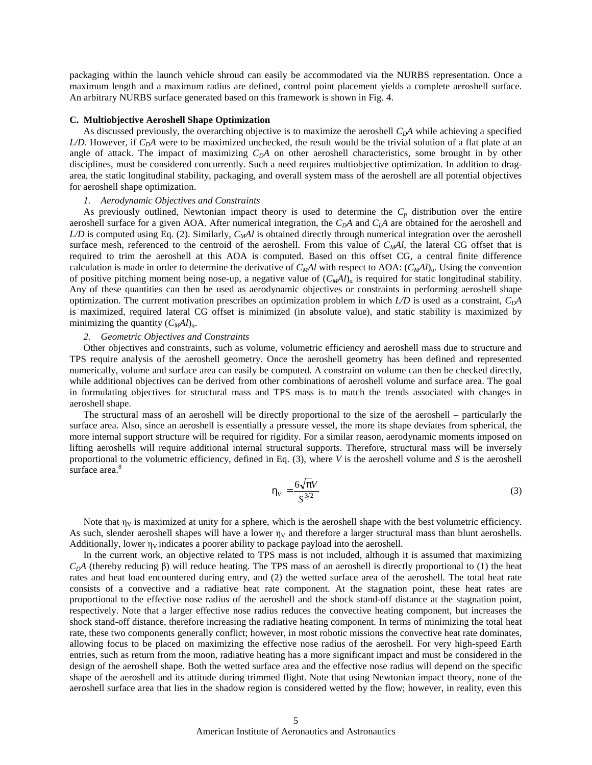packaging within the launch vehicle shroud can easily be accommodated via the NURBS representation. Once a maximum length and a maximum radius are defined, control point placement yields a complete aeroshell surface. An arbitrary NURBS surface generated based on this framework is shown in Fig. 4.

#### **C. Multiobjective Aeroshell Shape Optimization**

As discussed previously, the overarching objective is to maximize the aeroshell *CDA* while achieving a specified *L/D*. However, if  $C<sub>D</sub>A$  were to be maximized unchecked, the result would be the trivial solution of a flat plate at an angle of attack. The impact of maximizing  $C<sub>D</sub>A$  on other aeroshell characteristics, some brought in by other disciplines, must be considered concurrently. Such a need requires multiobjective optimization. In addition to dragarea, the static longitudinal stability, packaging, and overall system mass of the aeroshell are all potential objectives for aeroshell shape optimization.

#### *1. Aerodynamic Objectives and Constraints*

As previously outlined, Newtonian impact theory is used to determine the *Cp* distribution over the entire aeroshell surface for a given AOA. After numerical integration, the *CDA* and *CLA* are obtained for the aeroshell and *L/D* is computed using Eq. (2). Similarly, *CMAl* is obtained directly through numerical integration over the aeroshell surface mesh, referenced to the centroid of the aeroshell. From this value of  $C_M A l$ , the lateral CG offset that is required to trim the aeroshell at this AOA is computed. Based on this offset CG, a central finite difference calculation is made in order to determine the derivative of *CMAl* with respect to AOA: (*CMAl*)α. Using the convention of positive pitching moment being nose-up, a negative value of (*CMAl*)α is required for static longitudinal stability. Any of these quantities can then be used as aerodynamic objectives or constraints in performing aeroshell shape optimization. The current motivation prescribes an optimization problem in which  $L/D$  is used as a constraint,  $C_D A$ is maximized, required lateral CG offset is minimized (in absolute value), and static stability is maximized by minimizing the quantity  $(C_M A I)_{\alpha}$ .

## *2. Geometric Objectives and Constraints*

Other objectives and constraints, such as volume, volumetric efficiency and aeroshell mass due to structure and TPS require analysis of the aeroshell geometry. Once the aeroshell geometry has been defined and represented numerically, volume and surface area can easily be computed. A constraint on volume can then be checked directly, while additional objectives can be derived from other combinations of aeroshell volume and surface area. The goal in formulating objectives for structural mass and TPS mass is to match the trends associated with changes in aeroshell shape.

The structural mass of an aeroshell will be directly proportional to the size of the aeroshell – particularly the surface area. Also, since an aeroshell is essentially a pressure vessel, the more its shape deviates from spherical, the more internal support structure will be required for rigidity. For a similar reason, aerodynamic moments imposed on lifting aeroshells will require additional internal structural supports. Therefore, structural mass will be inversely proportional to the volumetric efficiency, defined in Eq. (3), where *V* is the aeroshell volume and *S* is the aeroshell surface area.<sup>8</sup>

$$
\eta_V = \frac{6\sqrt{\pi V}}{S^{3/2}}\tag{3}
$$

Note that  $\eta_V$  is maximized at unity for a sphere, which is the aeroshell shape with the best volumetric efficiency. As such, slender aeroshell shapes will have a lower  $\eta_V$  and therefore a larger structural mass than blunt aeroshells. Additionally, lower  $\eta_V$  indicates a poorer ability to package payload into the aeroshell.

In the current work, an objective related to TPS mass is not included, although it is assumed that maximizing  $C<sub>D</sub>A$  (thereby reducing β) will reduce heating. The TPS mass of an aeroshell is directly proportional to (1) the heat rates and heat load encountered during entry, and (2) the wetted surface area of the aeroshell. The total heat rate consists of a convective and a radiative heat rate component. At the stagnation point, these heat rates are proportional to the effective nose radius of the aeroshell and the shock stand-off distance at the stagnation point, respectively. Note that a larger effective nose radius reduces the convective heating component, but increases the shock stand-off distance, therefore increasing the radiative heating component. In terms of minimizing the total heat rate, these two components generally conflict; however, in most robotic missions the convective heat rate dominates, allowing focus to be placed on maximizing the effective nose radius of the aeroshell. For very high-speed Earth entries, such as return from the moon, radiative heating has a more significant impact and must be considered in the design of the aeroshell shape. Both the wetted surface area and the effective nose radius will depend on the specific shape of the aeroshell and its attitude during trimmed flight. Note that using Newtonian impact theory, none of the aeroshell surface area that lies in the shadow region is considered wetted by the flow; however, in reality, even this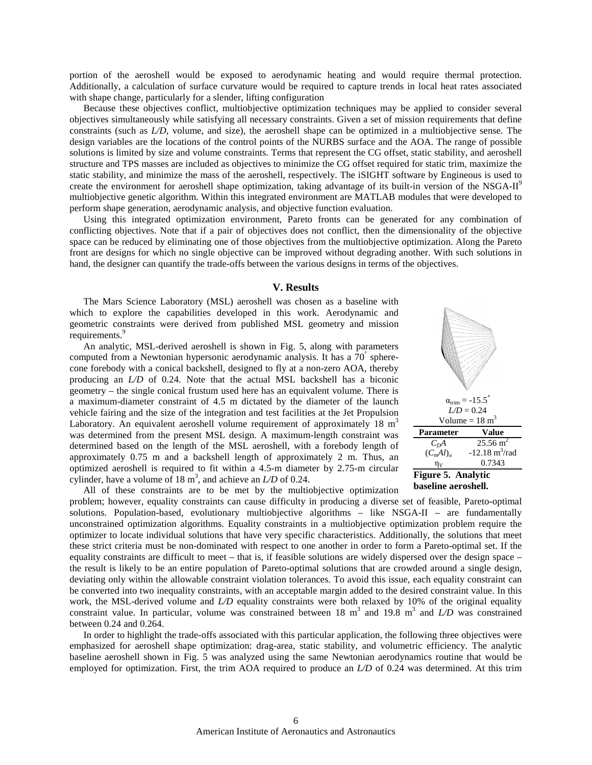portion of the aeroshell would be exposed to aerodynamic heating and would require thermal protection. Additionally, a calculation of surface curvature would be required to capture trends in local heat rates associated with shape change, particularly for a slender, lifting configuration

Because these objectives conflict, multiobjective optimization techniques may be applied to consider several objectives simultaneously while satisfying all necessary constraints. Given a set of mission requirements that define constraints (such as *L/D*, volume, and size), the aeroshell shape can be optimized in a multiobjective sense. The design variables are the locations of the control points of the NURBS surface and the AOA. The range of possible solutions is limited by size and volume constraints. Terms that represent the CG offset, static stability, and aeroshell structure and TPS masses are included as objectives to minimize the CG offset required for static trim, maximize the static stability, and minimize the mass of the aeroshell, respectively. The iSIGHT software by Engineous is used to create the environment for aeroshell shape optimization, taking advantage of its built-in version of the NSGA- $II^9$ multiobjective genetic algorithm. Within this integrated environment are MATLAB modules that were developed to perform shape generation, aerodynamic analysis, and objective function evaluation.

Using this integrated optimization environment, Pareto fronts can be generated for any combination of conflicting objectives. Note that if a pair of objectives does not conflict, then the dimensionality of the objective space can be reduced by eliminating one of those objectives from the multiobjective optimization. Along the Pareto front are designs for which no single objective can be improved without degrading another. With such solutions in hand, the designer can quantify the trade-offs between the various designs in terms of the objectives.

## **V. Results**

The Mars Science Laboratory (MSL) aeroshell was chosen as a baseline with which to explore the capabilities developed in this work. Aerodynamic and geometric constraints were derived from published MSL geometry and mission requirements.<sup>9</sup>

An analytic, MSL-derived aeroshell is shown in Fig. 5, along with parameters computed from a Newtonian hypersonic aerodynamic analysis. It has a  $70^{\degree}$  spherecone forebody with a conical backshell, designed to fly at a non-zero AOA, thereby producing an *L/D* of 0.24. Note that the actual MSL backshell has a biconic geometry – the single conical frustum used here has an equivalent volume. There is a maximum-diameter constraint of 4.5 m dictated by the diameter of the launch vehicle fairing and the size of the integration and test facilities at the Jet Propulsion Laboratory. An equivalent aeroshell volume requirement of approximately  $18 \text{ m}^3$ was determined from the present MSL design. A maximum-length constraint was determined based on the length of the MSL aeroshell, with a forebody length of approximately 0.75 m and a backshell length of approximately 2 m. Thus, an optimized aeroshell is required to fit within a 4.5-m diameter by 2.75-m circular cylinder, have a volume of 18  $m^3$ , and achieve an  $L/D$  of 0.24.



**Figure 5. Analytic baseline aeroshell.** 

All of these constraints are to be met by the multiobjective optimization problem; however, equality constraints can cause difficulty in producing a diverse set of feasible, Pareto-optimal solutions. Population-based, evolutionary multiobjective algorithms – like NSGA-II – are fundamentally unconstrained optimization algorithms. Equality constraints in a multiobjective optimization problem require the optimizer to locate individual solutions that have very specific characteristics. Additionally, the solutions that meet these strict criteria must be non-dominated with respect to one another in order to form a Pareto-optimal set. If the equality constraints are difficult to meet – that is, if feasible solutions are widely dispersed over the design space – the result is likely to be an entire population of Pareto-optimal solutions that are crowded around a single design, deviating only within the allowable constraint violation tolerances. To avoid this issue, each equality constraint can be converted into two inequality constraints, with an acceptable margin added to the desired constraint value. In this work, the MSL-derived volume and *L/D* equality constraints were both relaxed by 10% of the original equality constraint value. In particular, volume was constrained between 18 m<sup>3</sup> and 19.8 m<sup>3</sup> and  $LD$  was constrained between 0.24 and 0.264.

In order to highlight the trade-offs associated with this particular application, the following three objectives were emphasized for aeroshell shape optimization: drag-area, static stability, and volumetric efficiency. The analytic baseline aeroshell shown in Fig. 5 was analyzed using the same Newtonian aerodynamics routine that would be employed for optimization. First, the trim AOA required to produce an *L/D* of 0.24 was determined. At this trim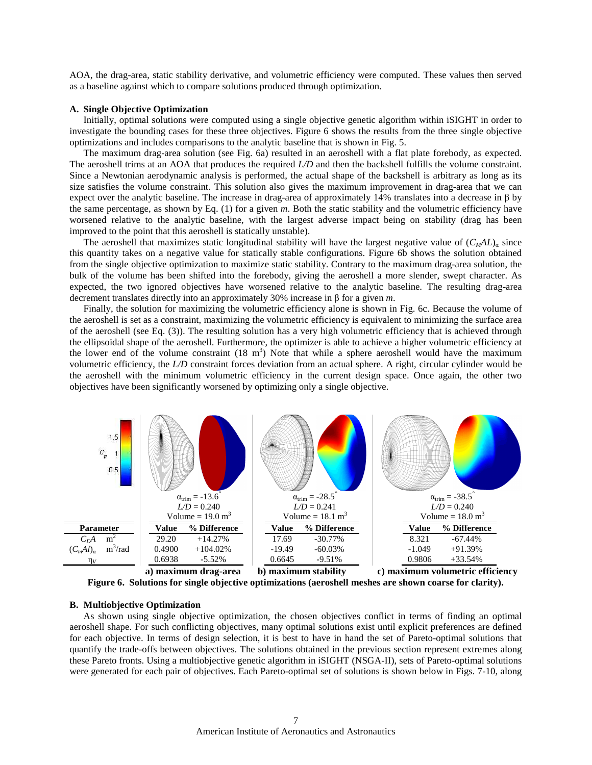AOA, the drag-area, static stability derivative, and volumetric efficiency were computed. These values then served as a baseline against which to compare solutions produced through optimization.

## **A. Single Objective Optimization**

Initially, optimal solutions were computed using a single objective genetic algorithm within iSIGHT in order to investigate the bounding cases for these three objectives. Figure 6 shows the results from the three single objective optimizations and includes comparisons to the analytic baseline that is shown in Fig. 5.

The maximum drag-area solution (see Fig. 6a) resulted in an aeroshell with a flat plate forebody, as expected. The aeroshell trims at an AOA that produces the required *L/D* and then the backshell fulfills the volume constraint. Since a Newtonian aerodynamic analysis is performed, the actual shape of the backshell is arbitrary as long as its size satisfies the volume constraint. This solution also gives the maximum improvement in drag-area that we can expect over the analytic baseline. The increase in drag-area of approximately 14% translates into a decrease in β by the same percentage, as shown by Eq. (1) for a given *m*. Both the static stability and the volumetric efficiency have worsened relative to the analytic baseline, with the largest adverse impact being on stability (drag has been improved to the point that this aeroshell is statically unstable).

The aeroshell that maximizes static longitudinal stability will have the largest negative value of  $(C_M A L)$ <sup>a</sup> since this quantity takes on a negative value for statically stable configurations. Figure 6b shows the solution obtained from the single objective optimization to maximize static stability. Contrary to the maximum drag-area solution, the bulk of the volume has been shifted into the forebody, giving the aeroshell a more slender, swept character. As expected, the two ignored objectives have worsened relative to the analytic baseline. The resulting drag-area decrement translates directly into an approximately 30% increase in β for a given *m*.

Finally, the solution for maximizing the volumetric efficiency alone is shown in Fig. 6c. Because the volume of the aeroshell is set as a constraint, maximizing the volumetric efficiency is equivalent to minimizing the surface area of the aeroshell (see Eq. (3)). The resulting solution has a very high volumetric efficiency that is achieved through the ellipsoidal shape of the aeroshell. Furthermore, the optimizer is able to achieve a higher volumetric efficiency at the lower end of the volume constraint  $(18 \text{ m}^3)$  Note that while a sphere aeroshell would have the maximum volumetric efficiency, the *L/D* constraint forces deviation from an actual sphere. A right, circular cylinder would be the aeroshell with the minimum volumetric efficiency in the current design space. Once again, the other two objectives have been significantly worsened by optimizing only a single objective.



**Figure 6. Solutions for single objective optimizations (aeroshell meshes are shown coarse for clarity).** 

## **B. Multiobjective Optimization**

As shown using single objective optimization, the chosen objectives conflict in terms of finding an optimal aeroshell shape. For such conflicting objectives, many optimal solutions exist until explicit preferences are defined for each objective. In terms of design selection, it is best to have in hand the set of Pareto-optimal solutions that quantify the trade-offs between objectives. The solutions obtained in the previous section represent extremes along these Pareto fronts. Using a multiobjective genetic algorithm in iSIGHT (NSGA-II), sets of Pareto-optimal solutions were generated for each pair of objectives. Each Pareto-optimal set of solutions is shown below in Figs. 7-10, along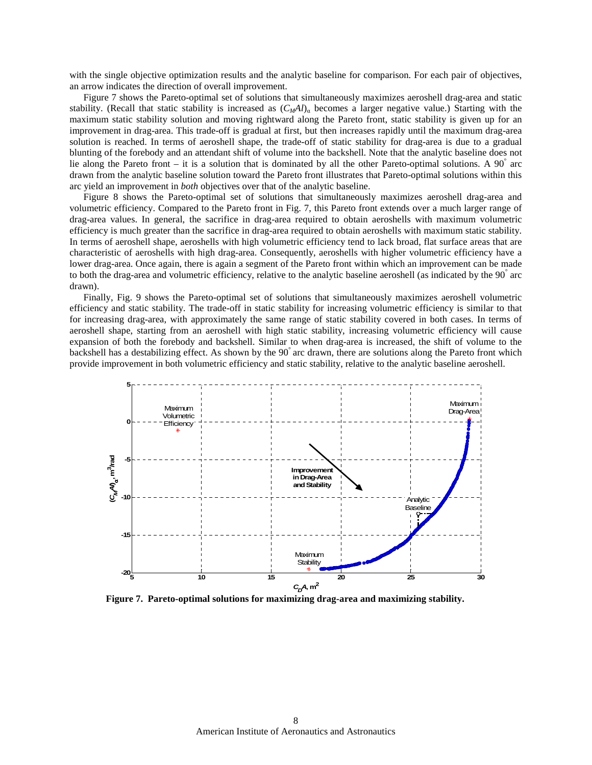with the single objective optimization results and the analytic baseline for comparison. For each pair of objectives, an arrow indicates the direction of overall improvement.

Figure 7 shows the Pareto-optimal set of solutions that simultaneously maximizes aeroshell drag-area and static stability. (Recall that static stability is increased as  $(C_M A_l)_\alpha$  becomes a larger negative value.) Starting with the maximum static stability solution and moving rightward along the Pareto front, static stability is given up for an improvement in drag-area. This trade-off is gradual at first, but then increases rapidly until the maximum drag-area solution is reached. In terms of aeroshell shape, the trade-off of static stability for drag-area is due to a gradual blunting of the forebody and an attendant shift of volume into the backshell. Note that the analytic baseline does not lie along the Pareto front – it is a solution that is dominated by all the other Pareto-optimal solutions. A 90° arc drawn from the analytic baseline solution toward the Pareto front illustrates that Pareto-optimal solutions within this arc yield an improvement in *both* objectives over that of the analytic baseline.

Figure 8 shows the Pareto-optimal set of solutions that simultaneously maximizes aeroshell drag-area and volumetric efficiency. Compared to the Pareto front in Fig. 7, this Pareto front extends over a much larger range of drag-area values. In general, the sacrifice in drag-area required to obtain aeroshells with maximum volumetric efficiency is much greater than the sacrifice in drag-area required to obtain aeroshells with maximum static stability. In terms of aeroshell shape, aeroshells with high volumetric efficiency tend to lack broad, flat surface areas that are characteristic of aeroshells with high drag-area. Consequently, aeroshells with higher volumetric efficiency have a lower drag-area. Once again, there is again a segment of the Pareto front within which an improvement can be made to both the drag-area and volumetric efficiency, relative to the analytic baseline aeroshell (as indicated by the 90° arc drawn).

Finally, Fig. 9 shows the Pareto-optimal set of solutions that simultaneously maximizes aeroshell volumetric efficiency and static stability. The trade-off in static stability for increasing volumetric efficiency is similar to that for increasing drag-area, with approximately the same range of static stability covered in both cases. In terms of aeroshell shape, starting from an aeroshell with high static stability, increasing volumetric efficiency will cause expansion of both the forebody and backshell. Similar to when drag-area is increased, the shift of volume to the backshell has a destabilizing effect. As shown by the 90° arc drawn, there are solutions along the Pareto front which provide improvement in both volumetric efficiency and static stability, relative to the analytic baseline aeroshell.



**Figure 7. Pareto-optimal solutions for maximizing drag-area and maximizing stability.**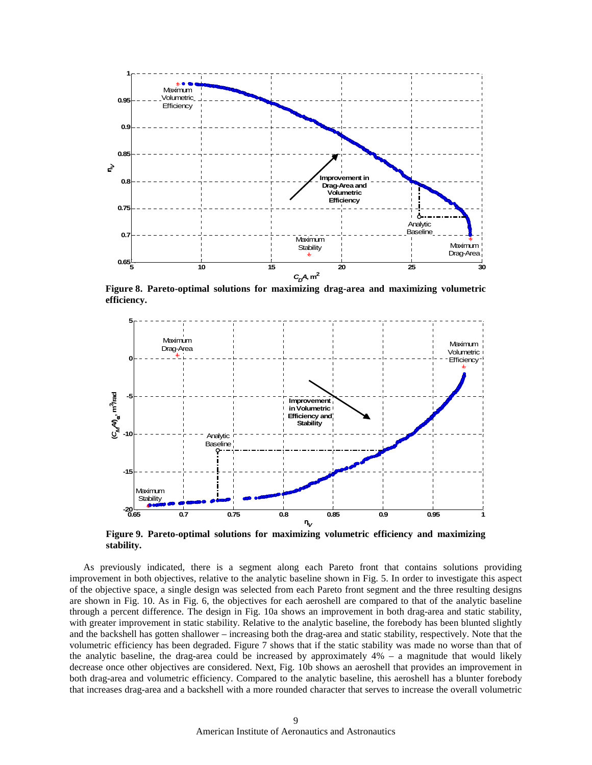

**Figure 8. Pareto-optimal solutions for maximizing drag-area and maximizing volumetric efficiency.** 



**Figure 9. Pareto-optimal solutions for maximizing volumetric efficiency and maximizing stability.** 

As previously indicated, there is a segment along each Pareto front that contains solutions providing improvement in both objectives, relative to the analytic baseline shown in Fig. 5. In order to investigate this aspect of the objective space, a single design was selected from each Pareto front segment and the three resulting designs are shown in Fig. 10. As in Fig. 6, the objectives for each aeroshell are compared to that of the analytic baseline through a percent difference. The design in Fig. 10a shows an improvement in both drag-area and static stability, with greater improvement in static stability. Relative to the analytic baseline, the forebody has been blunted slightly and the backshell has gotten shallower – increasing both the drag-area and static stability, respectively. Note that the volumetric efficiency has been degraded. Figure 7 shows that if the static stability was made no worse than that of the analytic baseline, the drag-area could be increased by approximately 4% – a magnitude that would likely decrease once other objectives are considered. Next, Fig. 10b shows an aeroshell that provides an improvement in both drag-area and volumetric efficiency. Compared to the analytic baseline, this aeroshell has a blunter forebody that increases drag-area and a backshell with a more rounded character that serves to increase the overall volumetric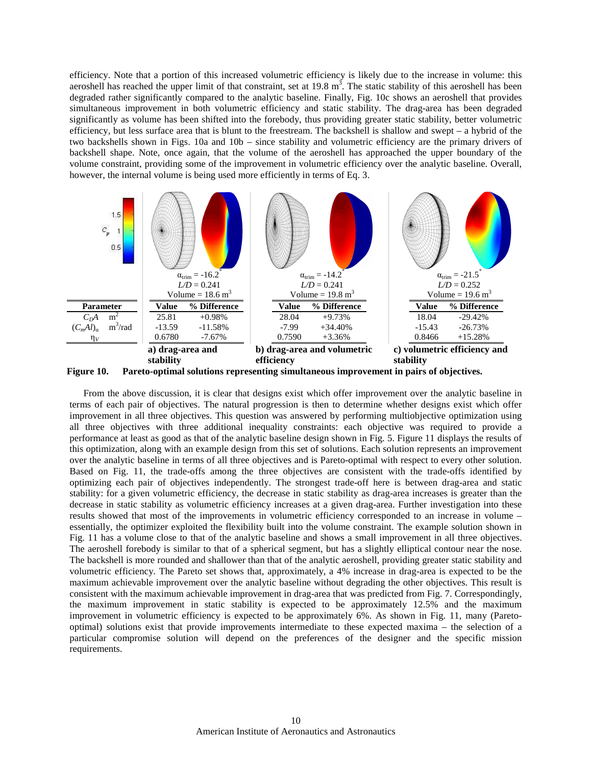efficiency. Note that a portion of this increased volumetric efficiency is likely due to the increase in volume: this aeroshell has reached the upper limit of that constraint, set at  $19.8 \text{ m}^3$ . The static stability of this aeroshell has been degraded rather significantly compared to the analytic baseline. Finally, Fig. 10c shows an aeroshell that provides simultaneous improvement in both volumetric efficiency and static stability. The drag-area has been degraded significantly as volume has been shifted into the forebody, thus providing greater static stability, better volumetric efficiency, but less surface area that is blunt to the freestream. The backshell is shallow and swept – a hybrid of the two backshells shown in Figs. 10a and 10b – since stability and volumetric efficiency are the primary drivers of backshell shape. Note, once again, that the volume of the aeroshell has approached the upper boundary of the volume constraint, providing some of the improvement in volumetric efficiency over the analytic baseline. Overall, however, the internal volume is being used more efficiently in terms of Eq. 3.



**Figure 10. Pareto-optimal solutions representing simultaneous improvement in pairs of objectives.** 

From the above discussion, it is clear that designs exist which offer improvement over the analytic baseline in terms of each pair of objectives. The natural progression is then to determine whether designs exist which offer improvement in all three objectives. This question was answered by performing multiobjective optimization using all three objectives with three additional inequality constraints: each objective was required to provide a performance at least as good as that of the analytic baseline design shown in Fig. 5. Figure 11 displays the results of this optimization, along with an example design from this set of solutions. Each solution represents an improvement over the analytic baseline in terms of all three objectives and is Pareto-optimal with respect to every other solution. Based on Fig. 11, the trade-offs among the three objectives are consistent with the trade-offs identified by optimizing each pair of objectives independently. The strongest trade-off here is between drag-area and static stability: for a given volumetric efficiency, the decrease in static stability as drag-area increases is greater than the decrease in static stability as volumetric efficiency increases at a given drag-area. Further investigation into these results showed that most of the improvements in volumetric efficiency corresponded to an increase in volume – essentially, the optimizer exploited the flexibility built into the volume constraint. The example solution shown in Fig. 11 has a volume close to that of the analytic baseline and shows a small improvement in all three objectives. The aeroshell forebody is similar to that of a spherical segment, but has a slightly elliptical contour near the nose. The backshell is more rounded and shallower than that of the analytic aeroshell, providing greater static stability and volumetric efficiency. The Pareto set shows that, approximately, a 4% increase in drag-area is expected to be the maximum achievable improvement over the analytic baseline without degrading the other objectives. This result is consistent with the maximum achievable improvement in drag-area that was predicted from Fig. 7. Correspondingly, the maximum improvement in static stability is expected to be approximately 12.5% and the maximum improvement in volumetric efficiency is expected to be approximately 6%. As shown in Fig. 11, many (Paretooptimal) solutions exist that provide improvements intermediate to these expected maxima – the selection of a particular compromise solution will depend on the preferences of the designer and the specific mission requirements.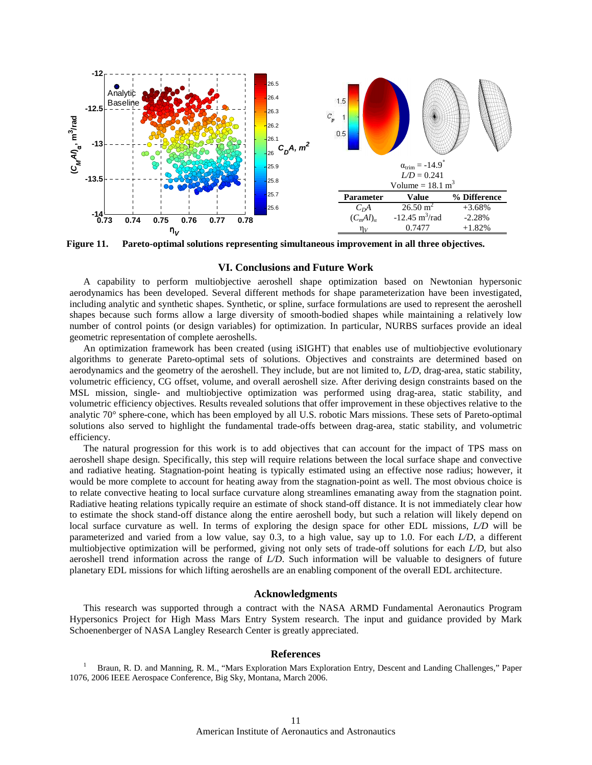

**Figure 11. Pareto-optimal solutions representing simultaneous improvement in all three objectives.** 

#### **VI. Conclusions and Future Work**

A capability to perform multiobjective aeroshell shape optimization based on Newtonian hypersonic aerodynamics has been developed. Several different methods for shape parameterization have been investigated, including analytic and synthetic shapes. Synthetic, or spline, surface formulations are used to represent the aeroshell shapes because such forms allow a large diversity of smooth-bodied shapes while maintaining a relatively low number of control points (or design variables) for optimization. In particular, NURBS surfaces provide an ideal geometric representation of complete aeroshells.

An optimization framework has been created (using iSIGHT) that enables use of multiobjective evolutionary algorithms to generate Pareto-optimal sets of solutions. Objectives and constraints are determined based on aerodynamics and the geometry of the aeroshell. They include, but are not limited to, *L/D*, drag-area, static stability, volumetric efficiency, CG offset, volume, and overall aeroshell size. After deriving design constraints based on the MSL mission, single- and multiobjective optimization was performed using drag-area, static stability, and volumetric efficiency objectives. Results revealed solutions that offer improvement in these objectives relative to the analytic 70° sphere-cone, which has been employed by all U.S. robotic Mars missions. These sets of Pareto-optimal solutions also served to highlight the fundamental trade-offs between drag-area, static stability, and volumetric efficiency.

The natural progression for this work is to add objectives that can account for the impact of TPS mass on aeroshell shape design. Specifically, this step will require relations between the local surface shape and convective and radiative heating. Stagnation-point heating is typically estimated using an effective nose radius; however, it would be more complete to account for heating away from the stagnation-point as well. The most obvious choice is to relate convective heating to local surface curvature along streamlines emanating away from the stagnation point. Radiative heating relations typically require an estimate of shock stand-off distance. It is not immediately clear how to estimate the shock stand-off distance along the entire aeroshell body, but such a relation will likely depend on local surface curvature as well. In terms of exploring the design space for other EDL missions, *L/D* will be parameterized and varied from a low value, say 0.3, to a high value, say up to 1.0. For each *L/D*, a different multiobjective optimization will be performed, giving not only sets of trade-off solutions for each *L/D*, but also aeroshell trend information across the range of *L/D*. Such information will be valuable to designers of future planetary EDL missions for which lifting aeroshells are an enabling component of the overall EDL architecture.

## **Acknowledgments**

This research was supported through a contract with the NASA ARMD Fundamental Aeronautics Program Hypersonics Project for High Mass Mars Entry System research. The input and guidance provided by Mark Schoenenberger of NASA Langley Research Center is greatly appreciated.

#### **References**

<sup>1</sup> Braun, R. D. and Manning, R. M., "Mars Exploration Mars Exploration Entry, Descent and Landing Challenges," Paper 1076, 2006 IEEE Aerospace Conference, Big Sky, Montana, March 2006.